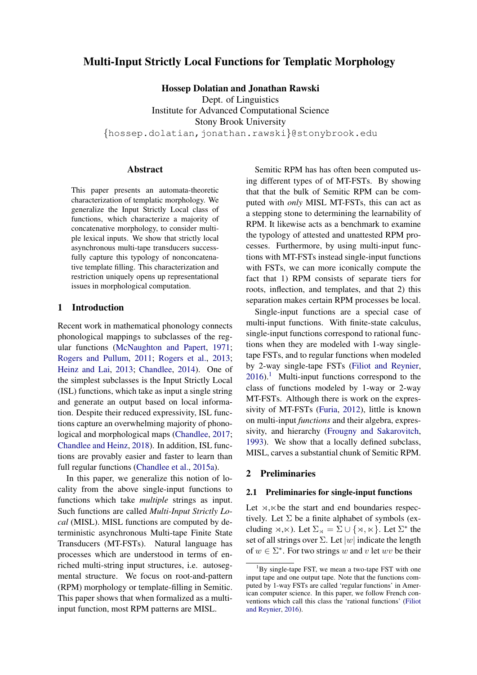# Multi-Input Strictly Local Functions for Templatic Morphology

Hossep Dolatian and Jonathan Rawski

Dept. of Linguistics

Institute for Advanced Computational Science Stony Brook University

*{*hossep.dolatian,jonathan.rawski*}*@stonybrook.edu

### Abstract

This paper presents an automata-theoretic characterization of templatic morphology. We generalize the Input Strictly Local class of functions, which characterize a majority of concatenative morphology, to consider multiple lexical inputs. We show that strictly local asynchronous multi-tape transducers successfully capture this typology of nonconcatenative template filling. This characterization and restriction uniquely opens up representational issues in morphological computation.

### 1 Introduction

Recent work in mathematical phonology connects phonological mappings to subclasses of the regular functions [\(McNaughton and Papert,](#page-10-0) [1971;](#page-10-0) [Rogers and Pullum,](#page-10-1) [2011;](#page-10-1) [Rogers et al.,](#page-10-2) [2013;](#page-10-2) [Heinz and Lai,](#page-9-0) [2013;](#page-9-0) [Chandlee,](#page-9-1) [2014\)](#page-9-1). One of the simplest subclasses is the Input Strictly Local (ISL) functions, which take as input a single string and generate an output based on local information. Despite their reduced expressivity, ISL functions capture an overwhelming majority of phonological and morphological maps [\(Chandlee,](#page-9-2) [2017;](#page-9-2) [Chandlee and Heinz,](#page-9-3) [2018\)](#page-9-3). In addition, ISL functions are provably easier and faster to learn than full regular functions [\(Chandlee et al.,](#page-9-4) [2015a\)](#page-9-4).

In this paper, we generalize this notion of locality from the above single-input functions to functions which take *multiple* strings as input. Such functions are called *Multi-Input Strictly Local* (MISL). MISL functions are computed by deterministic asynchronous Multi-tape Finite State Transducers (MT-FSTs). Natural language has processes which are understood in terms of enriched multi-string input structures, i.e. autosegmental structure. We focus on root-and-pattern (RPM) morphology or template-filling in Semitic. This paper shows that when formalized as a multiinput function, most RPM patterns are MISL.

Semitic RPM has has often been computed using different types of of MT-FSTs. By showing that that the bulk of Semitic RPM can be computed with *only* MISL MT-FSTs, this can act as a stepping stone to determining the learnability of RPM. It likewise acts as a benchmark to examine the typology of attested and unattested RPM processes. Furthermore, by using multi-input functions with MT-FSTs instead single-input functions with FSTs, we can more iconically compute the fact that 1) RPM consists of separate tiers for roots, inflection, and templates, and that 2) this separation makes certain RPM processes be local.

Single-input functions are a special case of multi-input functions. With finite-state calculus, single-input functions correspond to rational functions when they are modeled with 1-way singletape FSTs, and to regular functions when modeled by 2-way single-tape FSTs [\(Filiot and Reynier,](#page-9-5)  $2016$ .<sup>1</sup> Multi-input functions correspond to the class of functions modeled by 1-way or 2-way MT-FSTs. Although there is work on the expressivity of MT-FSTs [\(Furia,](#page-9-6) [2012\)](#page-9-6), little is known on multi-input *functions* and their algebra, expressivity, and hierarchy [\(Frougny and Sakarovitch,](#page-9-7) [1993\)](#page-9-7). We show that a locally defined subclass, MISL, carves a substantial chunk of Semitic RPM.

#### 2 Preliminaries

### 2.1 Preliminaries for single-input functions

Let  $\rtimes$ ,  $\ltimes$  be the start and end boundaries respectively. Let  $\Sigma$  be a finite alphabet of symbols (excluding  $\forall x, \forall x$ ). Let  $\Sigma_{\forall x} = \Sigma \cup \{\forall x, \forall x\}$ . Let  $\Sigma^*$  the set of all strings over  $\Sigma$ . Let  $|w|$  indicate the length of  $w \in \Sigma^*$ . For two strings *w* and *v* let *wv* be their

<span id="page-0-0"></span><sup>&</sup>lt;sup>1</sup>By single-tape FST, we mean a two-tape FST with one input tape and one output tape. Note that the functions computed by 1-way FSTs are called 'regular functions' in American computer science. In this paper, we follow French conventions which call this class the 'rational functions' [\(Filiot](#page-9-5) [and Reynier,](#page-9-5) [2016\)](#page-9-5).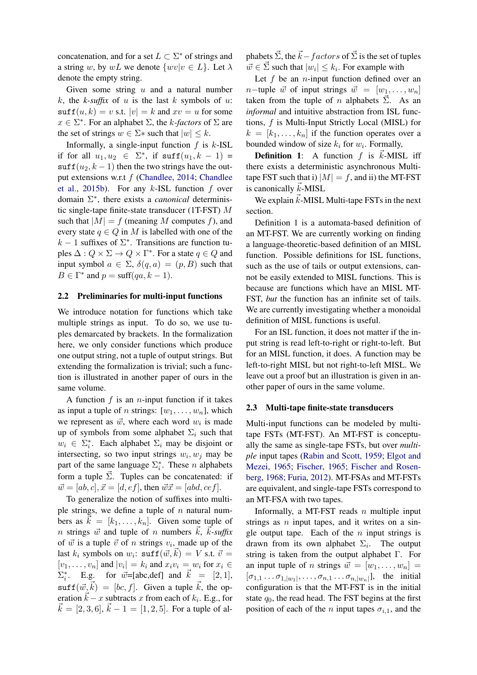concatenation, and for a set  $L \subset \Sigma^*$  of strings and a string *w*, by *wL* we denote  $\{wv|v \in L\}$ . Let  $\lambda$ denote the empty string.

Given some string *u* and a natural number *k*, the *k-suffix* of *u* is the last *k* symbols of *u*:  $\text{suffix}(u, k) = v \text{ s.t. } |v| = k \text{ and } xv = u \text{ for some }$  $x \in \Sigma^*$ . For an alphabet  $\Sigma$ , the *k*-factors of  $\Sigma$  are the set of strings  $w \in \Sigma^*$  such that  $|w| \leq k$ .

Informally, a single-input function *f* is *k*-ISL if for all  $u_1, u_2 \in \Sigma^*$ , if  $\text{suffix}(u_1, k-1) =$  $\text{suffix}(u_2, k-1)$  then the two strings have the output extensions w.r.t *f* [\(Chandlee,](#page-9-1) [2014;](#page-9-1) [Chandlee](#page-9-8) [et al.,](#page-9-8) [2015b\)](#page-9-8). For any *k*-ISL function *f* over domain  $\Sigma^*$ , there exists a *canonical* deterministic single-tape finite-state transducer (1T-FST) *M* such that  $|M| = f$  (meaning *M* computes *f*), and every state  $q \in Q$  in *M* is labelled with one of the  $k-1$  suffixes of  $\Sigma^*$ . Transitions are function tuples  $\Delta: Q \times \Sigma \to Q \times \Gamma^*$ . For a state  $q \in Q$  and input symbol  $a \in \Sigma$ ,  $\delta(q, a) = (p, B)$  such that  $B \in \Gamma^*$  and  $p = \text{suffix}(qa, k - 1)$ .

#### <span id="page-1-0"></span>2.2 Preliminaries for multi-input functions

We introduce notation for functions which take multiple strings as input. To do so, we use tuples demarcated by brackets. In the formalization here, we only consider functions which produce one output string, not a tuple of output strings. But extending the formalization is trivial; such a function is illustrated in another paper of ours in the same volume.

A function *f* is an *n*-input function if it takes as input a tuple of *n* strings:  $[w_1, \ldots, w_n]$ , which we represent as  $\vec{w}$ , where each word  $w_i$  is made up of symbols from some alphabet  $\Sigma_i$  such that  $w_i \in \Sigma_i^*$ . Each alphabet  $\Sigma_i$  may be disjoint or intersecting, so two input strings  $w_i, w_j$  may be part of the same language  $\Sigma_i^*$ . These *n* alphabets form a tuple  $\vec{\Sigma}$ . Tuples can be concatenated: if  $\vec{w} = [ab, c], \vec{x} = [d, ef],$  then  $\vec{w}\vec{x} = [abd, cef].$ 

To generalize the notion of suffixes into multiple strings, we define a tuple of *n* natural numbers as  $\vec{k} = [k_1, \ldots, k_n]$ . Given some tuple of *n* strings  $\vec{w}$  and tuple of *n* numbers  $\vec{k}$ ,  $\vec{k}$ -suffix of  $\vec{w}$  is a tuple  $\vec{v}$  of *n* strings  $v_i$ , made up of the last  $k_i$  symbols on  $w_i$ :  $\text{suffix}(\vec{w}, \vec{k}) = V$  s.t.  $\vec{v} =$  $[v_1, \ldots, v_n]$  and  $|v_i| = k_i$  and  $x_i v_i = w_i$  for  $x_i \in$  $\Sigma_i^*$ . E.g. for  $\vec{w}$ =[abc,def] and  $\vec{k}$  = [2, 1],  $\text{surf}(\vec{w}, \vec{k}) = [bc, f]$ . Given a tuple  $\vec{k}$ , the operation  $\vec{k} - x$  subtracts *x* from each of  $k_i$ . E.g., for  $\vec{k} = [2, 3, 6], \vec{k} - 1 = [1, 2, 5]$ . For a tuple of al- $\vec{k} = [2, 3, 6], \vec{k} - 1 = [1, 2, 5].$  For a tuple of al-

phabets  $\vec{\Sigma}$ , the  $\vec{k}$  –  $factors$  of  $\vec{\Sigma}$  is the set of tuples  $\vec{w} \in \vec{\Sigma}$  such that  $|w_i| \leq k_i$ . For example with

Let *f* be an *n*-input function defined over an *n*-tuple  $\vec{w}$  of input strings  $\vec{w} = [w_1, \ldots, w_n]$ taken from the tuple of *n* alphabets  $\vec{\Sigma}$ . As an *informal* and intuitive abstraction from ISL functions, *f* is Multi-Input Strictly Local (MISL) for  $k = [k_1, \ldots, k_n]$  if the function operates over a bounded window of size  $k_i$  for  $w_i$ . Formally,

**Definition 1:** A function  $f$  is  $\vec{k}$ -MISL iff there exists a deterministic asynchronous Multitape FST such that i)  $|M| = f$ , and ii) the MT-FST is canonically  $\vec{k}$ -MISL

We explain  $\vec{k}$ -MISL Multi-tape FSTs in the next section.

Definition 1 is a automata-based definition of an MT-FST. We are currently working on finding a language-theoretic-based definition of an MISL function. Possible definitions for ISL functions, such as the use of tails or output extensions, cannot be easily extended to MISL functions. This is because are functions which have an MISL MT-FST, *but* the function has an infinite set of tails. We are currently investigating whether a monoidal definition of MISL functions is useful.

For an ISL function, it does not matter if the input string is read left-to-right or right-to-left. But for an MISL function, it does. A function may be left-to-right MISL but not right-to-left MISL. We leave out a proof but an illustration is given in another paper of ours in the same volume.

#### 2.3 Multi-tape finite-state transducers

Multi-input functions can be modeled by multitape FSTs (MT-FST). An MT-FST is conceptually the same as single-tape FSTs, but over *multiple* input tapes [\(Rabin and Scott,](#page-10-3) [1959;](#page-10-3) [Elgot and](#page-9-9) [Mezei,](#page-9-9) [1965;](#page-9-9) [Fischer,](#page-9-10) [1965;](#page-9-10) [Fischer and Rosen](#page-9-11)[berg,](#page-9-11) [1968;](#page-9-11) [Furia,](#page-9-6) [2012\)](#page-9-6). MT-FSAs and MT-FSTs are equivalent, and single-tape FSTs correspond to an MT-FSA with two tapes.

Informally, a MT-FST reads *n* multiple input strings as *n* input tapes, and it writes on a single output tape. Each of the *n* input strings is drawn from its own alphabet  $\Sigma_i$ . The output string is taken from the output alphabet  $\Gamma$ . For an input tuple of *n* strings  $\vec{w} = [w_1, \ldots, w_n] =$  $[\sigma_{1,1} \ldots \sigma_{1,|\mathcal{W}_1|}, \ldots, \sigma_{n,1} \ldots \sigma_{n,|\mathcal{W}_n|}],$  the initial configuration is that the MT-FST is in the initial state  $q_0$ , the read head. The FST begins at the first position of each of the *n* input tapes  $\sigma_{i,1}$ , and the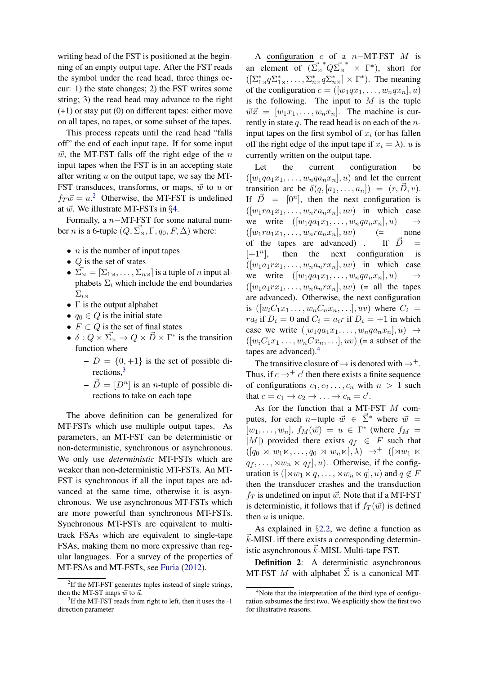writing head of the FST is positioned at the beginning of an empty output tape. After the FST reads the symbol under the read head, three things occur: 1) the state changes; 2) the FST writes some string; 3) the read head may advance to the right (+1) or stay put (0) on different tapes: either move on all tapes, no tapes, or some subset of the tapes.

This process repeats until the read head "falls off" the end of each input tape. If for some input  $\vec{w}$ , the MT-FST falls off the right edge of the *n* input tapes when the FST is in an accepting state after writing *u* on the output tape, we say the MT-FST transduces, transforms, or maps,  $\vec{w}$  to  $u$  or  $f_T \vec{w} = u^2$  $f_T \vec{w} = u^2$  Otherwise, the MT-FST is undefined at *w*~. We illustrate MT-FSTs in *§*[4.](#page-3-0)

Formally, a  $n-MT-FST$  for some natural number *n* is a 6-tuple  $(Q, \vec{\Sigma_{\times}}, \Gamma, q_0, F, \Delta)$  where:

- *n* is the number of input tapes
- *• Q* is the set of states
- $\vec{\Sigma}_{\bowtie} = [\Sigma_{1\rtimes}, \dots, \Sigma_{n\rtimes}]$  is a tuple of *n* input alphabets  $\Sigma_i$  which include the end boundaries  $\Sigma_{i}$ <sub>ix</sub>
- $\Gamma$  is the output alphabet
- $q_0 \in Q$  is the initial state
- $F \subset Q$  is the set of final states
- $\delta: Q \times \overrightarrow{\Sigma}_{\times} \to Q \times \overrightarrow{D} \times \Gamma^*$  is the transition function where
	- $-D = \{0, +1\}$  is the set of possible directions,<sup>3</sup>
	- $-\vec{D} = [D^n]$  is an *n*-tuple of possible directions to take on each tape

The above definition can be generalized for MT-FSTs which use multiple output tapes. As parameters, an MT-FST can be deterministic or non-deterministic, synchronous or asynchronous. We only use *deterministic* MT-FSTs which are weaker than non-deterministic MT-FSTs. An MT-FST is synchronous if all the input tapes are advanced at the same time, otherwise it is asynchronous. We use asynchronous MT-FSTs which are more powerful than synchronous MT-FSTs. Synchronous MT-FSTs are equivalent to multitrack FSAs which are equivalent to single-tape FSAs, making them no more expressive than regular languages. For a survey of the properties of MT-FSAs and MT-FSTs, see [Furia](#page-9-6) [\(2012\)](#page-9-6).

A configuration *c* of a  $n-MT-FST$  *M* is an element of  $(\Sigma_{\tiny \text{N}}^* \times \Sigma_{\tiny \text{N}}^* \times \Gamma^*)$ , short for  $([\Sigma_{1\times}^* q \Sigma_{1\times}^*, \dots, \Sigma_{n\times}^* q \Sigma_{n\times}^*] \times \Gamma^*).$  The meaning of the configuration  $c = ([w_1qx_1, \ldots, w_nqx_n], u)$ is the following. The input to  $M$  is the tuple  $\vec{w}\vec{x} = [w_1x_1,\ldots,w_nx_n]$ . The machine is currently in state *q*. The read head is on each of the *n*input tapes on the first symbol of  $x_i$  (or has fallen off the right edge of the input tape if  $x_i = \lambda$ ). *u* is currently written on the output tape.

Let the current configuration be  $([w_1qa_1x_1,\ldots,w_nqa_nx_n],u)$  and let the current transition arc be  $\delta(q, [a_1, \ldots, a_n]) = (r, \vec{D}, v)$ . If  $\vec{D} = [0^n]$ , then the next configuration is  $([w_1ra_1x_1,\ldots,w_nra_nx_n],uv)$  in which case we write  $([w_1qa_1x_1,\ldots,w_nqa_nx_n],u) \rightarrow$ <br> $([w_1ra_1x_1,\ldots,w_nra_nx_n],uv)$   $(=$  none  $([w_1ra_1x_1,\ldots,w_nra_nx_n],uv)$ of the tapes are advanced). If  $\vec{D}$  =  $[+1^n]$ , then the next configuration is  $([w_1a_1rx_1,\ldots,w_na_nrx_n],uv)$  in which case we write  $([w_1qa_1x_1,\ldots,w_nqa_nx_n],u) \rightarrow$  $([w_1a_1rx_1,\ldots,w_na_nrx_n],uv)$  (= all the tapes are advanced). Otherwise, the next configuration is  $([w_i C_1 x_1 \ldots, w_n C_n x_n, \ldots], uv)$  where  $C_i =$ *ra*<sup>*i*</sup> if  $D_i = 0$  and  $C_i = a_i r$  if  $D_i = +1$  in which case we write  $([w_1qa_1x_1,\ldots,w_nqa_nx_n],u) \rightarrow$  $([w_iC_1x_1 \ldots, w_nCx_n, \ldots], uv)$  (= a subset of the tapes are advanced)[.4](#page-2-2)

The transitive closure of  $\rightarrow$  is denoted with  $\rightarrow^+$ . Thus, if  $c \rightarrow + c'$  then there exists a finite sequence of configurations  $c_1, c_2, \ldots, c_n$  with  $n > 1$  such that  $c = c_1 \rightarrow c_2 \rightarrow \ldots \rightarrow c_n = c'$ .

As for the function that a MT-FST *M* computes, for each *n*-tuple  $\vec{w} \in \vec{\Sigma}^*$  where  $\vec{w} =$  $[w_1, \ldots, w_n]$ ,  $f_M(\vec{w}) = u \in \Gamma^*$  (where  $f_M =$ *|M|)* provided there exists  $q_f \in F$  such that  $([q_0 \rtimes w_1 \ltimes, \ldots, q_0 \rtimes w_n \ltimes], \lambda) \rightarrow^+ ([\times w_1 \ltimes$  $q_f, \ldots, \forall w_n \times q_f$ , *u*). Otherwise, if the configuration is  $(\forall w_1 \times q, \dots, \forall w_n \times q, u)$  and  $q \notin F$ then the transducer crashes and the transduction  $f_T$  is undefined on input  $\vec{w}$ . Note that if a MT-FST is deterministic, it follows that if  $f_T(\vec{w})$  is defined then *u* is unique.

As explained in  $\S2.2$ , we define a function as  $\vec{k}$ -MISL iff there exists a corresponding deterministic asynchronous  $\vec{k}$ -MISL Multi-tape FST.

**Definition 2:** A deterministic asynchronous MT-FST M with alphabet  $\overline{\Sigma}$  is a canonical MT-

<span id="page-2-0"></span><sup>&</sup>lt;sup>2</sup>If the MT-FST generates tuples instead of single strings, then the MT-ST maps  $\vec{w}$  to  $\vec{u}$ .

<span id="page-2-1"></span><sup>&</sup>lt;sup>3</sup>If the MT-FST reads from right to left, then it uses the -1 direction parameter

<span id="page-2-2"></span><sup>&</sup>lt;sup>4</sup>Note that the interpretation of the third type of configuration subsumes the first two. We explicitly show the first two for illustrative reasons.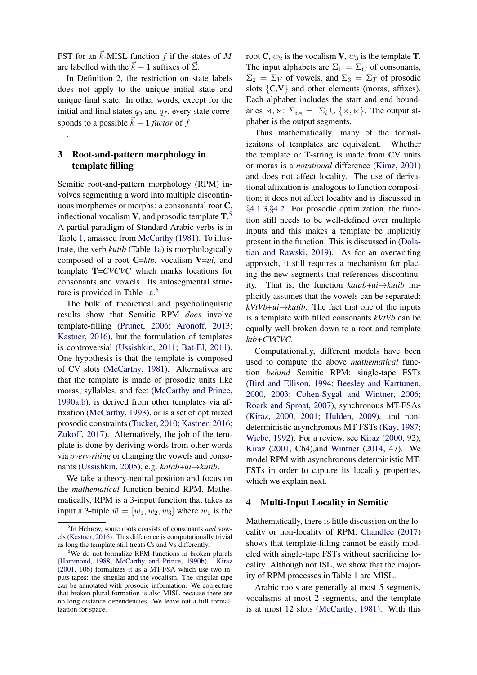FST for an  $\vec{k}$ -MISL function  $f$  if the states of  $M$ are labelled with the  $\vec{k} - 1$  suffixes of  $\vec{\Sigma}$ .

In Definition 2, the restriction on state labels does not apply to the unique initial state and unique final state. In other words, except for the initial and final states  $q_0$  and  $q_f$ , every state corresponds to a possible  $\vec{k} - 1$  *factor* of *f* 

## 3 Root-and-pattern morphology in template filling

.

Semitic root-and-pattern morphology (RPM) involves segmenting a word into multiple discontinuous morphemes or morphs: a consonantal root C, inflectional vocalism  $V$ , and prosodic template  $T$ .<sup>[5](#page-3-1)</sup> A partial paradigm of Standard Arabic verbs is in Table [1,](#page-4-0) amassed from [McCarthy](#page-10-4) [\(1981\)](#page-10-4). To illustrate, the verb *kutib* (Table [1a](#page-4-0)) is morphologically composed of a root C=*ktb*, vocalism V=*ui*, and template T=*CVCVC* which marks locations for consonants and vowels. Its autosegmental struc-ture is provided in Table [1a](#page-4-0).<sup>6</sup>

The bulk of theoretical and psycholinguistic results show that Semitic RPM *does* involve template-filling [\(Prunet,](#page-10-5) [2006;](#page-10-5) [Aronoff,](#page-8-0) [2013;](#page-8-0) [Kastner,](#page-9-12) [2016\)](#page-9-12), but the formulation of templates is controversial [\(Ussishkin,](#page-10-6) [2011;](#page-10-6) [Bat-El,](#page-8-1) [2011\)](#page-8-1). One hypothesis is that the template is composed of CV slots [\(McCarthy,](#page-10-4) [1981\)](#page-10-4). Alternatives are that the template is made of prosodic units like moras, syllables, and feet [\(McCarthy and Prince,](#page-10-7) [1990a](#page-10-7)[,b\)](#page-10-8), is derived from other templates via affixation [\(McCarthy,](#page-10-9) [1993\)](#page-10-9), or is a set of optimized prosodic constraints [\(Tucker,](#page-10-10) [2010;](#page-10-10) [Kastner,](#page-9-12) [2016;](#page-9-12) [Zukoff,](#page-10-11) [2017\)](#page-10-11). Alternatively, the job of the template is done by deriving words from other words via *overwriting* or changing the vowels and conso-nants [\(Ussishkin,](#page-10-12) [2005\)](#page-10-12), e.g. *katab*+*ui*→*kutib*.

We take a theory-neutral position and focus on the *mathematical* function behind RPM. Mathematically, RPM is a 3-input function that takes as input a 3-tuple  $\vec{w} = [w_1, w_2, w_3]$  where  $w_1$  is the root C,  $w_2$  is the vocalism V,  $w_3$  is the template T. The input alphabets are  $\Sigma_1 = \Sigma_C$  of consonants,  $\Sigma_2 = \Sigma_V$  of vowels, and  $\Sigma_3 = \Sigma_T$  of prosodic slots *{*C,V*}* and other elements (moras, affixes). Each alphabet includes the start and end boundaries  $\rtimes$ ,  $\ltimes$ :  $\Sigma_{i\rtimes}$  =  $\Sigma_i \cup {\rtimes, \ltimes}$ . The output alphabet is the output segments.

Thus mathematically, many of the formalizaitons of templates are equivalent. Whether the template or T-string is made from CV units or moras is a *notational* difference [\(Kiraz,](#page-10-13) [2001\)](#page-10-13) and does not affect locality. The use of derivational affixation is analogous to function composition; it does not affect locality and is discussed in *§*[4.1.3,](#page-5-0)*§*[4.2.](#page-6-0) For prosodic optimization, the function still needs to be well-defined over multiple inputs and this makes a template be implicitly present in the function. This is discussed in [\(Dola](#page-9-14)[tian and Rawski,](#page-9-14) [2019\)](#page-9-14). As for an overwriting approach, it still requires a mechanism for placing the new segments that references discontinuity. That is, the function  $katab+ui \rightarrow kuti\bar{b}$  implicitly assumes that the vowels can be separated:  $kVtVb+ui \rightarrow kuti b$ . The fact that one of the inputs is a template with filled consonants *kVtVb* can be equally well broken down to a root and template *ktb+CVCVC*.

Computationally, different models have been used to compute the above *mathematical* function *behind* Semitic RPM: single-tape FSTs [\(Bird and Ellison,](#page-9-15) [1994;](#page-9-15) [Beesley and Karttunen,](#page-9-16) [2000,](#page-9-16) [2003;](#page-8-2) [Cohen-Sygal and Wintner,](#page-9-17) [2006;](#page-9-17) [Roark and Sproat,](#page-10-14) [2007\)](#page-10-14), synchronous MT-FSAs [\(Kiraz,](#page-10-15) [2000,](#page-10-15) [2001;](#page-10-13) [Hulden,](#page-9-18) [2009\)](#page-9-18), and nondeterministic asynchronous MT-FSTs [\(Kay,](#page-9-19) [1987;](#page-9-19) [Wiebe,](#page-10-16) [1992\)](#page-10-16). For a review, see [Kiraz](#page-10-15) [\(2000,](#page-10-15) 92), [Kiraz](#page-10-13) [\(2001,](#page-10-13) Ch4),and [Wintner](#page-10-17) [\(2014,](#page-10-17) 47). We model RPM with asynchronous deterministic MT-FSTs in order to capture its locality properties, which we explain next.

#### <span id="page-3-0"></span>4 Multi-Input Locality in Semitic

Mathematically, there is little discussion on the locality or non-locality of RPM. [Chandlee](#page-9-2) [\(2017\)](#page-9-2) shows that template-filling cannot be easily modeled with single-tape FSTs without sacrificing locality. Although not ISL, we show that the majority of RPM processes in Table [1](#page-4-0) are MISL.

Arabic roots are generally at most 5 segments, vocalisms at most 2 segments, and the template is at most 12 slots [\(McCarthy,](#page-10-4) [1981\)](#page-10-4). With this

<span id="page-3-1"></span><sup>5</sup> In Hebrew, some roots consists of consonants *and* vowels [\(Kastner,](#page-9-12) [2016\)](#page-9-12). This difference is computationally trivial as long the template still treats Cs and Vs differently.

<span id="page-3-2"></span><sup>&</sup>lt;sup>6</sup>We do not formalize RPM functions in broken plurals [\(Hammond,](#page-9-13) [1988;](#page-9-13) [McCarthy and Prince,](#page-10-8) [1990b\)](#page-10-8). [Kiraz](#page-10-13) [\(2001,](#page-10-13) 106) formalizes it as a MT-FSA which use two inputs tapes: the singular and the vocalism. The singular tape can be annotated with prosodic information. We conjecture that broken plural formation is also MISL because there are no long-distance dependencies. We leave out a full formalization for space.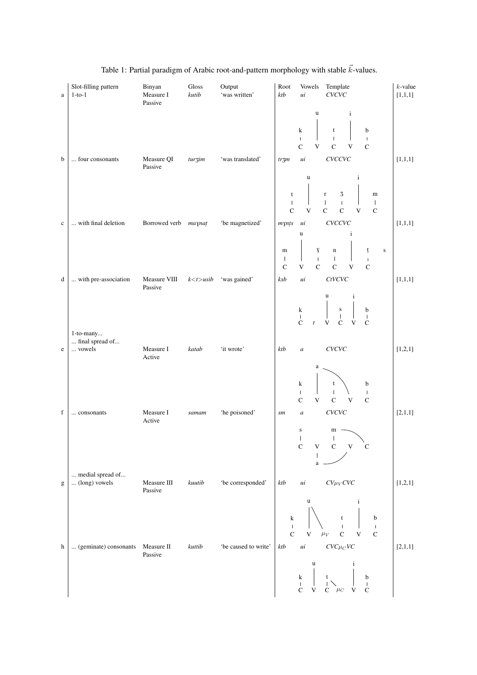<span id="page-4-0"></span>

| $\rm{a}$                  | Slot-filling pattern<br>$1-to-1$       | Binyan<br>Measure I<br>Passive | Gloss<br>kutib | Output<br>'was written' | Root<br>ktb                                                   | Template<br>Vowels<br>CVCVC<br>ui                                                                                                                                                                                   | $k$ -value<br>[1,1,1] |
|---------------------------|----------------------------------------|--------------------------------|----------------|-------------------------|---------------------------------------------------------------|---------------------------------------------------------------------------------------------------------------------------------------------------------------------------------------------------------------------|-----------------------|
| b                         | four consonants                        | Measure QI                     | turzim         | 'was translated'        | $tr\overline{3}m$                                             | $\mathbf u$<br>$\mathbf{i}$<br>k<br>$\mathbf{t}$<br>b<br>$\overline{1}$<br>$\mathsf I$<br>$\mathsf I$<br>$\mathbf C$<br>$\mathbf V$<br>$\mathbf C$<br>$\ensuremath{\mathsf{V}}$<br>$\mathbf C$<br>$\mu i$<br>CVCCVC | [1,1,1]               |
|                           |                                        | Passive                        |                |                         | t<br>$\overline{\phantom{a}}$<br>$\mathbf C$                  | $\mathbf u$<br>$\mathbf{i}$<br>$\frac{3}{1}$<br>$\mathbf r$<br>$\mathbf m$<br>$\mathbf{I}$<br>$\mathbf{I}$<br>$\overline{C}$<br>$\mathbf V$<br>$\mathbf C$<br>$\overline{\mathbf{V}}$<br>$\mathbf C$                |                       |
| $\mathbf c$               | with final deletion                    | Borrowed verb maynat           |                | 'be magnetized'         | $m$ ynts<br>${\bf m}$<br>$\mathbf{I}$                         | CVCCVC<br>ui<br>$\mathbf u$<br>$\mathbf{i}$<br>$\mathbf{Y}$<br>$\mathbf n$<br>ţ<br>${\bf S}$<br>$\mathbf{I}$<br>$\mathbf{I}$<br>$\mathbf I$                                                                         | [1,1,1]               |
| d                         | with pre-association                   | Measure VIII<br>Passive        | $k < t >$ usib | 'was gained'            | $\mathbf C$<br>ksb                                            | $\mathbf C$<br>$\mathbf C$<br>$\mathbf V$<br>V<br>$\mathsf{C}$<br>ui<br><b>CtVCVC</b><br>$\mathbf{i}$<br>u                                                                                                          | [1,1,1]               |
| e                         | 1-to-many<br>final spread of<br>vowels | Measure I<br>Active            | katab          | 'it wrote'              | ktb                                                           | $\frac{s}{l}$<br>$\bf k$<br>$\mathbf b$<br>$\mathbf{I}$<br>$\overline{\phantom{a}}$<br>$\mathsf{C}$<br>V<br>$\mathsf{C}$<br>$\mathbf V$<br>$\boldsymbol{t}$<br>$\mathsf{C}$<br>CVCVC<br>$\boldsymbol{a}$            | [1,2,1]               |
|                           |                                        |                                |                |                         |                                                               | a<br>k<br>b<br>t<br>$\mathsf I$<br>$\mathbf{I}$<br>$\mathbf{I}$<br>$\mathbf C$<br>$\mathsf C$<br>$\mathbf V$<br>$\mathbf{V}$<br>$\mathsf{C}$                                                                        |                       |
| $\mathbf f$               | consonants                             | Measure I<br>Active            | samam          | 'he poisoned'           | sm                                                            | CVCVC<br>$\boldsymbol{a}$<br>${\bf S}$<br>$m -$<br>$\vert$<br>$\mathbb{F}_2$<br>N,<br>$\mathbf C$<br>${\bf C}$<br>$\mathsf C$<br>V<br>V                                                                             | [2,1,1]               |
| g                         | medial spread of<br>(long) vowels      | Measure III<br>Passive         | kuutib         | 'be corresponded'       | ktb                                                           | $CV\mu_V$ CVC<br>ui<br>u<br>$\mathbf{i}$                                                                                                                                                                            | [1,2,1]               |
| $\boldsymbol{\mathrm{h}}$ | (geminate) consonants Measure II       |                                | kuttib         | 'be caused to write'    | $\mathbf k$<br>$\overline{\phantom{a}}$<br>$\mathbf C$<br>ktb | $\mathbf b$<br>$\mathsf t$<br>$\bar{\Gamma}$<br>$\mathbf C$<br>$\ensuremath{\mathbf{V}}$<br>$\mu_V$<br>$\mathbf C$<br>$\mathbf V$<br>$CVC\mu_C VC$<br>$\,$ ui                                                       | [2,1,1]               |
|                           |                                        | Passive                        |                |                         |                                                               | u<br>$\mathbf{i}$<br>$\mathbf k$<br>b<br>t<br>$\mathsf I$<br>$\mathsf I$<br>$\mathbf C$<br>$\mathbf{V}$<br>V<br>$\mathbf{C}-\mu_C$<br>$\mathbf C$                                                                   |                       |

## Table 1: Partial paradigm of Arabic root-and-pattern morphology with stable  $\vec{k}$ -values.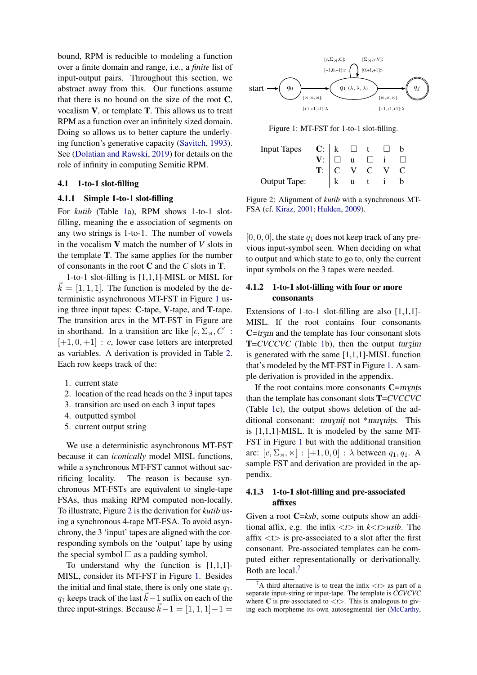bound, RPM is reducible to modeling a function over a finite domain and range, i.e., a *finite* list of input-output pairs. Throughout this section, we abstract away from this. Our functions assume that there is no bound on the size of the root  $C$ , vocalism V, or template T. This allows us to treat RPM as a function over an infinitely sized domain. Doing so allows us to better capture the underlying function's generative capacity [\(Savitch,](#page-10-18) [1993\)](#page-10-18). See [\(Dolatian and Rawski,](#page-9-14) [2019\)](#page-9-14) for details on the role of infinity in computing Semitic RPM.

### 4.1 1-to-1 slot-filling

### 4.1.1 Simple 1-to-1 slot-filling

For *kutib* (Table [1a](#page-4-0)), RPM shows 1-to-1 slotfilling, meaning the e association of segments on any two strings is 1-to-1. The number of vowels in the vocalism V match the number of *V* slots in the template T. The same applies for the number of consonants in the root C and the *C* slots in T.

1-to-1 slot-filling is [1,1,1]-MISL or MISL for  $\vec{k} = [1, 1, 1]$ . The function is modeled by the deterministic asynchronous MT-FST in Figure [1](#page-5-1) using three input tapes: C-tape, V-tape, and T-tape. The transition arcs in the MT-FST in Figure are in shorthand. In a transition arc like  $[c, \Sigma_{\bowtie}, C]$ :  $[+1, 0, +1]$  : *c*, lower case letters are interpreted as variables. A derivation is provided in Table [2.](#page-6-1) Each row keeps track of the:

- 1. current state
- 2. location of the read heads on the 3 input tapes
- 3. transition arc used on each 3 input tapes
- 4. outputted symbol
- 5. current output string

We use a deterministic asynchronous MT-FST because it can *iconically* model MISL functions, while a synchronous MT-FST cannot without sacrificing locality. The reason is because synchronous MT-FSTs are equivalent to single-tape FSAs, thus making RPM computed non-locally. To illustrate, Figure [2](#page-5-2) is the derivation for *kutib* using a synchronous 4-tape MT-FSA. To avoid asynchrony, the 3 'input' tapes are aligned with the corresponding symbols on the 'output' tape by using the special symbol  $\Box$  as a padding symbol.

To understand why the function is  $[1,1,1]$ -MISL, consider its MT-FST in Figure [1.](#page-5-1) Besides the initial and final state, there is only one state  $q_1$ . *q*<sub>1</sub> keeps track of the last  $\vec{k}$  – 1 suffix on each of the three input-strings. Because  $\vec{k} - 1 = [1, 1, 1] - 1 =$ 

<span id="page-5-1"></span>

Figure 1: MT-FST for 1-to-1 slot-filling.

<span id="page-5-2"></span>

| Input Tapes $\begin{array}{c ccc} \mathbf{C}: & k & \square & t & \square & b \\ \hline \mathbf{V}: & \square & \mathbf{u} & \square & i & \square \\ \mathbf{T}: & \square & \mathbf{V}: & \mathbf{C} & \mathbf{V} & \mathbf{C} \\ \hline \mathbf{C}: & \mathbf{V}: & \mathbf{C}: & \mathbf{V}: & \mathbf{C} \end{array}$ |  |  |  |
|----------------------------------------------------------------------------------------------------------------------------------------------------------------------------------------------------------------------------------------------------------------------------------------------------------------------------|--|--|--|
|                                                                                                                                                                                                                                                                                                                            |  |  |  |
|                                                                                                                                                                                                                                                                                                                            |  |  |  |
| <b>Output Tape:</b>                                                                                                                                                                                                                                                                                                        |  |  |  |

Figure 2: Alignment of *kutib* with a synchronous MT-FSA (cf. [Kiraz,](#page-10-13) [2001;](#page-10-13) [Hulden,](#page-9-18) [2009\)](#page-9-18).

 $[0, 0, 0]$ , the state  $q_1$  does not keep track of any previous input-symbol seen. When deciding on what to output and which state to go to, only the current input symbols on the 3 tapes were needed.

## 4.1.2 1-to-1 slot-filling with four or more consonants

Extensions of 1-to-1 slot-filling are also [1,1,1]- MISL. If the root contains four consonants  $C=tr\zeta m$  and the template has four consonant slots **T**=*CVCCVC* (Table [1b](#page-4-0)), then the output turzim is generated with the same [1,1,1]-MISL function that's modeled by the MT-FST in Figure [1.](#page-5-1) A sample derivation is provided in the appendix.

If the root contains more consonants  $C=$ *mynts*<br>an the template has consonant slots  $T=CVCCV$ than the template has consonant slots T=*CVCCVC* (Table [1c](#page-4-0)), the output shows deletion of the additional consonant: muynit not \*muynits. This<br>is  $[1\ 1\ 1\ 1]$ -MISI It is modeled by the same MTis [1,1,1]-MISL. It is modeled by the same MT-FST in Figure [1](#page-5-1) but with the additional transition arc:  $[c, \Sigma_{\bowtie}, \bowtie] : [+1, 0, 0] : \lambda$  between  $q_1, q_1$ . A sample FST and derivation are provided in the appendix.

### <span id="page-5-0"></span>4.1.3 1-to-1 slot-filling and pre-associated affixes

Given a root C=*ksb*, some outputs show an additional affix, e.g. the infix  $\langle t \rangle$  in  $k \langle t \rangle$ *usib*. The affix *<*t*>* is pre-associated to a slot after the first consonant. Pre-associated templates can be computed either representationally or derivationally. Both are local.<sup>7</sup>

<span id="page-5-3"></span> $^7$ A third alternative is to treat the infix  $\langle t \rangle$  as part of a separate input-string or input-tape. The template is *CCVCVC* where C is pre-associated to  $\langle t \rangle$ . This is analogous to giving each morpheme its own autosegmental tier [\(McCarthy,](#page-10-4)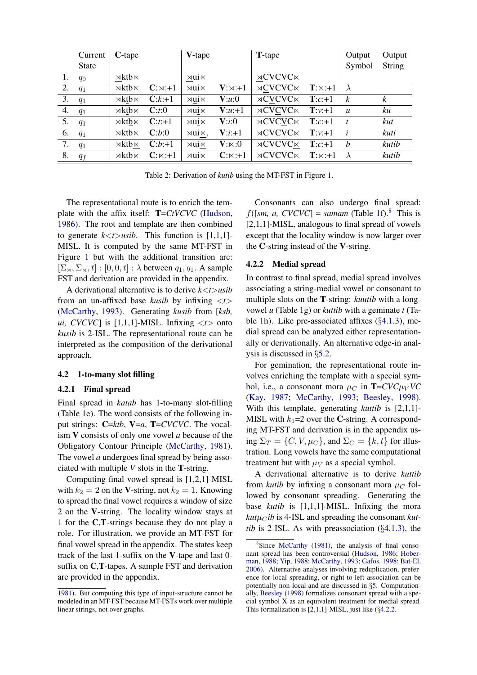<span id="page-6-1"></span>

|    | Current      | $C$ -tape               |               | V-tape                 |                          | <b>T</b> -tape            |                        | Output           | Output        |
|----|--------------|-------------------------|---------------|------------------------|--------------------------|---------------------------|------------------------|------------------|---------------|
|    | <b>State</b> |                         |               |                        |                          |                           |                        | Symbol           | <b>String</b> |
| 1. | $q_0$        | $\times$ ktb $\times$   |               | $\rtimes$ ui $\ltimes$ |                          | $\rtimes$ CVCVC $\ltimes$ |                        |                  |               |
| 2. | $q_1$        | $\rtimes$ ktb $\ltimes$ | $C:\times:+1$ | $\rtimes$ ui $\ltimes$ | $V:\times: +1$           | $\rtimes$ CVCVC $\ltimes$ | $\mathbf{T}:\Join:+1$  | $\lambda$        |               |
| 3. | $q_1$        | $\rtimes$ ktb $\ltimes$ | $C:k+1$       | $\times$ ui $\times$   | V:u:0                    | $\rtimes$ CVCVC $\ltimes$ | $\mathbf{T}:c:+1$      | $\boldsymbol{k}$ | k             |
| 4. | $q_1$        | $\times$ ktb $\times$   | C:t:0         | $\times$ ui $\times$   | $V:u:+1$                 | $\rtimes$ CVCVC $\ltimes$ | $\mathbf{T}:\nu:+1$    | $\boldsymbol{u}$ | ku            |
| 5. | $q_1$        | $\times$ ktb $\times$   | $C:t+1$       | $\rtimes$ ui $\ltimes$ | V: i:0                   | $\rtimes$ CVCVC $\ltimes$ | $T:c+1$                | t                | kut           |
| 6. | $q_1$        | $\rtimes$ ktb $\ltimes$ | C:b:0         | ×ui∝,                  | $V: i: +1$               | $\rtimes$ CVCVC $\ltimes$ | $T: v: +1$             | i                | kuti          |
| 7. | $q_1$        | $\rtimes$ ktb $\ltimes$ | $C:b: +1$     | $\rtimes$ ui $\ltimes$ | ${\bf V}$ : $\ltimes$ :0 | $\rtimes$ CVCVC $\ltimes$ | $T:c+1$                | b                | kutib         |
| 8. | $q_f$        | $\rtimes$ kth $\ltimes$ | $C:\Join: +1$ | $\times$ ui $\times$   | $C:\Join: +1$            | $\rtimes$ CVCVC $\ltimes$ | $\mathbf{T}:\Join: +1$ | $\lambda$        | kutib         |

Table 2: Derivation of *kutib* using the MT-FST in Figure [1.](#page-5-1)

The representational route is to enrich the template with the affix itself: T=*CtVCVC* [\(Hudson,](#page-9-20) [1986\)](#page-9-20). The root and template are then combined to generate  $k \lt t$  *>usib*. This function is [1,1,1]-MISL. It is computed by the same MT-FST in Figure [1](#page-5-1) but with the additional transition arc:  $[\Sigma_\rtimes, \Sigma_\rtimes, t] : [0, 0, t] : \lambda$  between  $q_1, q_1$ . A sample FST and derivation are provided in the appendix.

A derivational alternative is to derive *k<t>usib* from an un-affixed base *kusib* by infixing *<t>* [\(McCarthy,](#page-10-9) [1993\)](#page-10-9). Generating *kusib* from [*ksb, ui, CVCVC*] is [1,1,1]-MISL. Infixing  $\langle t \rangle$  onto *kusib* is 2-ISL. The representational route can be interpreted as the composition of the derivational approach.

#### <span id="page-6-0"></span>4.2 1-to-many slot filling

#### <span id="page-6-4"></span>4.2.1 Final spread

Final spread in *katab* has 1-to-many slot-filling (Table [1e](#page-4-0)). The word consists of the following input strings: C=*ktb*, V=*a*, T=*CVCVC*. The vocalism V consists of only one vowel *a* because of the Obligatory Contour Principle [\(McCarthy,](#page-10-4) [1981\)](#page-10-4). The vowel *a* undergoes final spread by being associated with multiple *V* slots in the T-string.

Computing final vowel spread is [1,2,1]-MISL with  $k_2 = 2$  on the V-string, not  $k_2 = 1$ . Knowing to spread the final vowel requires a window of size 2 on the V-string. The locality window stays at 1 for the C,T-strings because they do not play a role. For illustration, we provide an MT-FST for final vowel spread in the appendix. The states keep track of the last 1-suffix on the V-tape and last 0 suffix on C,T-tapes. A sample FST and derivation are provided in the appendix.

Consonants can also undergo final spread:  $f([sm, a, CVCVC] = samam$  (Table [1f](#page-4-0)).<sup>8</sup> This is [2,1,1]-MISL, analogous to final spread of vowels except that the locality window is now larger over the C-string instead of the V-string.

#### <span id="page-6-3"></span>4.2.2 Medial spread

In contrast to final spread, medial spread involves associating a string-medial vowel or consonant to multiple slots on the T-string: *kuutib* with a longvowel *u* (Table [1g](#page-4-0)) or *kuttib* with a geminate *t* (Table [1h](#page-4-0)). Like pre-associated affixes (*§*[4.1.3\)](#page-5-0), medial spread can be analyzed either representationally or derivationally. An alternative edge-in analysis is discussed in *§*[5.2.](#page-7-0)

For gemination, the representational route involves enriching the template with a special symbol, i.e., a consonant mora  $\mu_C$  in  $\mathbf{T} = CVC\mu_V VC$ [\(Kay,](#page-9-19) [1987;](#page-9-19) [McCarthy,](#page-10-9) [1993;](#page-10-9) [Beesley,](#page-8-3) [1998\)](#page-8-3). With this template, generating *kuttib* is [2,1,1]- MISL with  $k_1=2$  over the C-string. A corresponding MT-FST and derivation is in the appendix using  $\Sigma_T = \{C, V, \mu_C\}$ , and  $\Sigma_C = \{k, t\}$  for illustration. Long vowels have the same computational treatment but with  $\mu_V$  as a special symbol.

A derivational alternative is to derive *kuttib* from *kutib* by infixing a consonant mora  $\mu_C$  followed by consonant spreading. Generating the base *kutib* is [1,1,1]-MISL. Infixing the mora  $kut\mu$ <sub>*C</sub>ib* is 4-ISL and spreading the consonant *kut*-</sub> *tib* is 2-ISL. As with preassociation (*§*[4.1.3\)](#page-5-0), the

[<sup>1981\)</sup>](#page-10-4). But computing this type of input-structure cannot be modeled in an MT-FST because MT-FSTs work over multiple linear strings, not over graphs.

<span id="page-6-2"></span><sup>&</sup>lt;sup>8</sup>Since [McCarthy](#page-10-4) [\(1981\)](#page-10-4), the analysis of final consonant spread has been controversial [\(Hudson,](#page-9-20) [1986;](#page-9-20) [Hober](#page-9-21)[man,](#page-9-21) [1988;](#page-9-21) [Yip,](#page-10-19) [1988;](#page-10-19) [McCarthy,](#page-10-9) [1993;](#page-10-9) [Gafos,](#page-9-22) [1998;](#page-9-22) [Bat-El,](#page-8-4) [2006\)](#page-8-4). Alternative analyses involving reduplication, preference for local spreading, or right-to-left association can be potentially non-local and are discussed in *§*[5.](#page-7-1) Computationally, [Beesley](#page-8-3) [\(1998\)](#page-8-3) formalizes consonant spread with a special symbol X as an equivalent treatment for medial spread. This formalization is [2,1,1]-MISL, just like (*§*[4.2.2.](#page-6-3)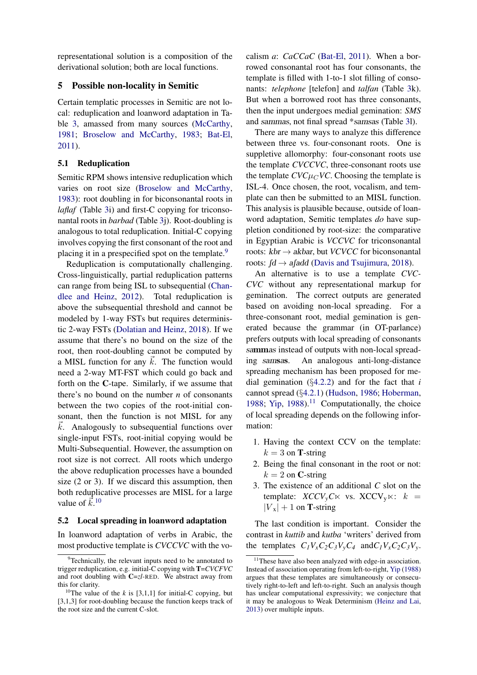representational solution is a composition of the derivational solution; both are local functions.

## <span id="page-7-1"></span>5 Possible non-locality in Semitic

Certain templatic processes in Semitic are not local: reduplication and loanword adaptation in Table [3,](#page-8-5) amassed from many sources [\(McCarthy,](#page-10-4) [1981;](#page-10-4) [Broselow and McCarthy,](#page-9-23) [1983;](#page-9-23) [Bat-El,](#page-8-1) [2011\)](#page-8-1).

### 5.1 Reduplication

Semitic RPM shows intensive reduplication which varies on root size [\(Broselow and McCarthy,](#page-9-23) [1983\)](#page-9-23): root doubling in for biconsonantal roots in *laflaf* (Table [3i](#page-8-5)) and first-C copying for triconsonantal roots in *barbad* (Table [3j](#page-8-5)). Root-doubling is analogous to total reduplication. Initial-C copying involves copying the first consonant of the root and placing it in a prespecified spot on the template.<sup>9</sup>

Reduplication is computationally challenging. Cross-linguistically, partial reduplication patterns can range from being ISL to subsequential [\(Chan](#page-9-24)[dlee and Heinz,](#page-9-24) [2012\)](#page-9-24). Total reduplication is above the subsequential threshold and cannot be modeled by 1-way FSTs but requires deterministic 2-way FSTs [\(Dolatian and Heinz,](#page-9-25) [2018\)](#page-9-25). If we assume that there's no bound on the size of the root, then root-doubling cannot be computed by a MISL function for any  $\vec{k}$ . The function would need a 2-way MT-FST which could go back and forth on the C-tape. Similarly, if we assume that there's no bound on the number *n* of consonants between the two copies of the root-initial consonant, then the function is not MISL for any  $\vec{k}$ . Analogously to subsequential functions over single-input FSTs, root-initial copying would be Multi-Subsequential. However, the assumption on root size is not correct. All roots which undergo the above reduplication processes have a bounded size (2 or 3). If we discard this assumption, then both reduplicative processes are MISL for a large value of  $\vec{k}$ <sup>[10](#page-7-3)</sup>

### <span id="page-7-0"></span>5.2 Local spreading in loanword adaptation

In loanword adaptation of verbs in Arabic, the most productive template is *CVCCVC* with the vocalism *a*: *CaCCaC* [\(Bat-El,](#page-8-1) [2011\)](#page-8-1). When a borrowed consonantal root has four consonants, the template is filled with 1-to-1 slot filling of consonants: *telephone* [telefon] and *talfan* (Table [3k](#page-8-5)). But when a borrowed root has three consonants, then the input undergoes medial gemination: *SMS* and sammas, not final spread \*samsas (Table [3l](#page-8-5)).

There are many ways to analyze this difference between three vs. four-consonant roots. One is suppletive allomorphy: four-consonant roots use the template *CVCCVC*, three-consonant roots use the template  $CVC\mu$ <sub>*C*</sub> $VC$ . Choosing the template is ISL-4. Once chosen, the root, vocalism, and template can then be submitted to an MISL function. This analysis is plausible because, outside of loanword adaptation, Semitic templates *do* have suppletion conditioned by root-size: the comparative in Egyptian Arabic is *VCCVC* for triconsonantal roots:  $kbr \rightarrow akbar$ , but *VCVCC* for biconsonantal roots:  $\beta d \rightarrow a \beta d d$  [\(Davis and Tsujimura,](#page-9-26) [2018\)](#page-9-26).

An alternative is to use a template *CVC-CVC* without any representational markup for gemination. The correct outputs are generated based on avoiding non-local spreading. For a three-consonant root, medial gemination is generated because the grammar (in OT-parlance) prefers outputs with local spreading of consonants sammas instead of outputs with non-local spreading samsas. An analogous anti-long-distance spreading mechanism has been proposed for medial gemination (*§*[4.2.2\)](#page-6-3) and for the fact that *i* cannot spread (*§*[4.2.1\)](#page-6-4) [\(Hudson,](#page-9-20) [1986;](#page-9-20) [Hoberman,](#page-9-21) [1988;](#page-9-21) [Yip,](#page-10-19) [1988\)](#page-10-19).<sup>11</sup> Computationally, the choice of local spreading depends on the following information:

- 1. Having the context CCV on the template:  $k = 3$  on **T**-string
- 2. Being the final consonant in the root or not:  $k = 2$  on **C**-string
- 3. The existence of an additional *C* slot on the template:  $XCCV_vC\ltimes$  vs.  $XCCV_v\ltimes: k =$  $|V_{\rm x}| + 1$  on **T**-string

The last condition is important. Consider the contrast in *kuttib* and *kutba* 'writers' derived from the templates  $C_1V_xC_2C_3V_yC_4$  and  $C_1V_xC_2C_3V_y$ .

<span id="page-7-2"></span><sup>&</sup>lt;sup>9</sup>Technically, the relevant inputs need to be annotated to trigger reduplication, e.g. initial-C copying with T=*CVCFVC* and root doubling with C=*zl-*RED. We abstract away from this for clarity.

<span id="page-7-3"></span><sup>&</sup>lt;sup>10</sup>The value of the *k* is [3,1,1] for initial-C copying, but [3,1,3] for root-doubling because the function keeps track of the root size and the current C-slot.

<span id="page-7-4"></span><sup>&</sup>lt;sup>11</sup>These have also been analyzed with edge-in association. Instead of association operating from left-to-right, [Yip](#page-10-19) [\(1988\)](#page-10-19) argues that these templates are simultaneously or consecutively right-to-left and left-to-right. Such an analysis though has unclear computational expressivity; we conjecture that it may be analogous to Weak Determinism [\(Heinz and Lai,](#page-9-0) [2013\)](#page-9-0) over multiple inputs.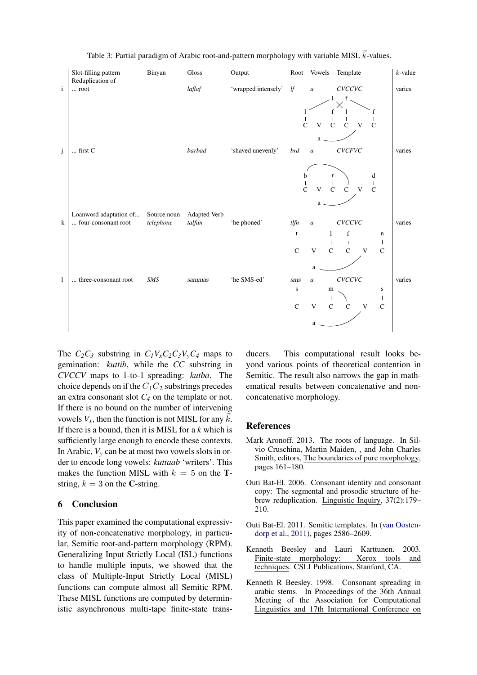<span id="page-8-5"></span>

Table 3: Partial paradigm of Arabic root-and-pattern morphology with variable MISL  $\vec{k}$ -values.

The  $C_2C_3$  substring in  $C_1V_xC_2C_3V_yC_4$  maps to gemination: *kuttib*, while the *CC* substring in *CVCCV* maps to 1-to-1 spreading: *kutba*. The choice depends on if the  $C_1C_2$  substrings precedes an extra consonant slot *C4* on the template or not. If there is no bound on the number of intervening vowels  $V_x$ , then the function is not MISL for any  $\vec{k}$ . If there is a bound, then it is MISL for a *k* which is sufficiently large enough to encode these contexts. In Arabic,  $V_y$  can be at most two vowels slots in order to encode long vowels: *kuttaab* 'writers'. This makes the function MISL with  $k = 5$  on the **T**string,  $k = 3$  on the C-string.

### 6 Conclusion

This paper examined the computational expressivity of non-concatenative morphology, in particular, Semitic root-and-pattern morphology (RPM). Generalizing Input Strictly Local (ISL) functions to handle multiple inputs, we showed that the class of Multiple-Input Strictly Local (MISL) functions can compute almost all Semitic RPM. These MISL functions are computed by deterministic asynchronous multi-tape finite-state transducers. This computational result looks beyond various points of theoretical contention in Semitic. The result also narrows the gap in mathematical results between concatenative and nonconcatenative morphology.

### References

- <span id="page-8-0"></span>Mark Aronoff. 2013. The roots of language. In Silvio Cruschina, Martin Maiden, , and John Charles Smith, editors, The boundaries of pure morphology, pages 161–180.
- <span id="page-8-4"></span>Outi Bat-El. 2006. Consonant identity and consonant copy: The segmental and prosodic structure of hebrew reduplication. Linguistic Inquiry, 37(2):179– 210.
- <span id="page-8-1"></span>Outi Bat-El. 2011. Semitic templates. In [\(van Oosten](#page-10-20)[dorp et al.,](#page-10-20) [2011\)](#page-10-20), pages 2586–2609.
- <span id="page-8-2"></span>Kenneth Beesley and Lauri Karttunen. 2003. Finite-state morphology: Xerox tools and techniques. CSLI Publications, Stanford, CA.
- <span id="page-8-3"></span>Kenneth R Beesley. 1998. Consonant spreading in arabic stems. In Proceedings of the 36th Annual Meeting of the Association for Computational Linguistics and 17th International Conference on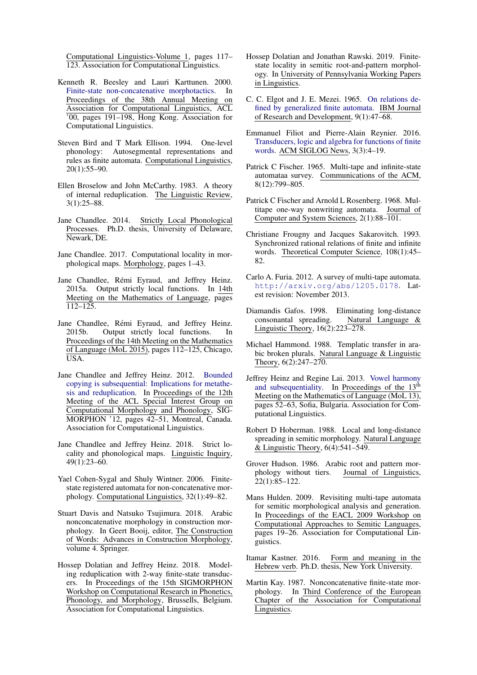Computational Linguistics-Volume 1, pages 117– 123. Association for Computational Linguistics.

- <span id="page-9-16"></span>Kenneth R. Beesley and Lauri Karttunen. 2000. [Finite-state non-concatenative morphotactics.](https://doi.org/10.3115/1075218.1075243) In Proceedings of the 38th Annual Meeting on Association for Computational Linguistics, ACL '00, pages 191–198, Hong Kong. Association for Computational Linguistics.
- <span id="page-9-15"></span>Steven Bird and T Mark Ellison. 1994. One-level phonology: Autosegmental representations and rules as finite automata. Computational Linguistics, 20(1):55–90.
- <span id="page-9-23"></span>Ellen Broselow and John McCarthy. 1983. A theory of internal reduplication. The Linguistic Review, 3(1):25–88.
- <span id="page-9-1"></span>Jane Chandlee. 2014. Strictly Local Phonological Processes. Ph.D. thesis, University of Delaware, Newark, DE.
- <span id="page-9-2"></span>Jane Chandlee. 2017. Computational locality in morphological maps. Morphology, pages 1–43.
- <span id="page-9-4"></span>Jane Chandlee, Rémi Eyraud, and Jeffrey Heinz. 2015a. Output strictly local functions. In 14th Meeting on the Mathematics of Language, pages  $\overline{112-125}$ .
- <span id="page-9-8"></span>Jane Chandlee, Rémi Eyraud, and Jeffrey Heinz. 2015b. Output strictly local functions. In Proceedings of the 14th Meeting on the Mathematics of Language (MoL 2015), pages 112–125, Chicago, USA.
- <span id="page-9-24"></span>Jane Chandlee and Jeffrey Heinz. 2012. [Bounded](http://dl.acm.org/citation.cfm?id=2390930.2390936) [copying is subsequential: Implications for metathe](http://dl.acm.org/citation.cfm?id=2390930.2390936)[sis and reduplication.](http://dl.acm.org/citation.cfm?id=2390930.2390936) In Proceedings of the 12th Meeting of the ACL Special Interest Group on Computational Morphology and Phonology, SIG-MORPHON '12, pages 42–51, Montreal, Canada. Association for Computational Linguistics.
- <span id="page-9-3"></span>Jane Chandlee and Jeffrey Heinz. 2018. Strict locality and phonological maps. Linguistic Inquiry, 49(1):23–60.
- <span id="page-9-17"></span>Yael Cohen-Sygal and Shuly Wintner. 2006. Finitestate registered automata for non-concatenative morphology. Computational Linguistics, 32(1):49–82.
- <span id="page-9-26"></span>Stuart Davis and Natsuko Tsujimura. 2018. Arabic nonconcatenative morphology in construction morphology. In Geert Booij, editor, The Construction of Words: Advances in Construction Morphology, volume 4. Springer.
- <span id="page-9-25"></span>Hossep Dolatian and Jeffrey Heinz. 2018. Modeling reduplication with 2-way finite-state transducers. In Proceedings of the 15th SIGMORPHON Workshop on Computational Research in Phonetics, Phonology, and Morphology, Brussells, Belgium. Association for Computational Linguistics.
- <span id="page-9-14"></span>Hossep Dolatian and Jonathan Rawski. 2019. Finitestate locality in semitic root-and-pattern morphology. In University of Pennsylvania Working Papers in Linguistics.
- <span id="page-9-9"></span>C. C. Elgot and J. E. Mezei. 1965. [On relations de](https://doi.org/10.1147/rd.91.0047)[fined by generalized finite automata.](https://doi.org/10.1147/rd.91.0047) IBM Journal of Research and Development, 9(1):47–68.
- <span id="page-9-5"></span>Emmanuel Filiot and Pierre-Alain Reynier. 2016. [Transducers, logic and algebra for functions of finite](https://doi.org/10.1145/2984450.2984453) [words.](https://doi.org/10.1145/2984450.2984453) ACM SIGLOG News, 3(3):4–19.
- <span id="page-9-10"></span>Patrick C Fischer. 1965. Multi-tape and infinite-state automataa survey. Communications of the ACM, 8(12):799–805.
- <span id="page-9-11"></span>Patrick C Fischer and Arnold L Rosenberg. 1968. Multitape one-way nonwriting automata. Journal of Computer and System Sciences, 2(1):88–101.
- <span id="page-9-7"></span>Christiane Frougny and Jacques Sakarovitch. 1993. Synchronized rational relations of finite and infinite words. Theoretical Computer Science, 108(1):45– 82.
- <span id="page-9-6"></span>Carlo A. Furia. 2012. A survey of multi-tape automata. <http://arxiv.org/abs/1205.0178>. Latest revision: November 2013.
- <span id="page-9-22"></span>Diamandis Gafos. 1998. Eliminating long-distance consonantal spreading. Natural Language & Linguistic Theory, 16(2):223–278.
- <span id="page-9-13"></span>Michael Hammond. 1988. Templatic transfer in arabic broken plurals. Natural Language & Linguistic Theory, 6(2):247–270.
- <span id="page-9-0"></span>Jeffrey Heinz and Regine Lai. 2013. [Vowel harmony](http://www.aclweb.org/anthology/W13-3006) [and subsequentiality.](http://www.aclweb.org/anthology/W13-3006) In Proceedings of the 13<sup>th</sup> Meeting on the Mathematics of Language (MoL 13), pages 52–63, Sofia, Bulgaria. Association for Computational Linguistics.
- <span id="page-9-21"></span>Robert D Hoberman. 1988. Local and long-distance spreading in semitic morphology. Natural Language & Linguistic Theory, 6(4):541–549.
- <span id="page-9-20"></span>Grover Hudson. 1986. Arabic root and pattern morphology without tiers. Journal of Linguistics, 22(1):85–122.
- <span id="page-9-18"></span>Mans Hulden. 2009. Revisiting multi-tape automata for semitic morphological analysis and generation. In Proceedings of the EACL 2009 Workshop on Computational Approaches to Semitic Languages, pages 19–26. Association for Computational Linguistics.
- <span id="page-9-12"></span>Itamar Kastner. 2016. Form and meaning in the Hebrew verb. Ph.D. thesis, New York University.
- <span id="page-9-19"></span>Martin Kay. 1987. Nonconcatenative finite-state morphology. In Third Conference of the European Chapter of the Association for Computational Linguistics.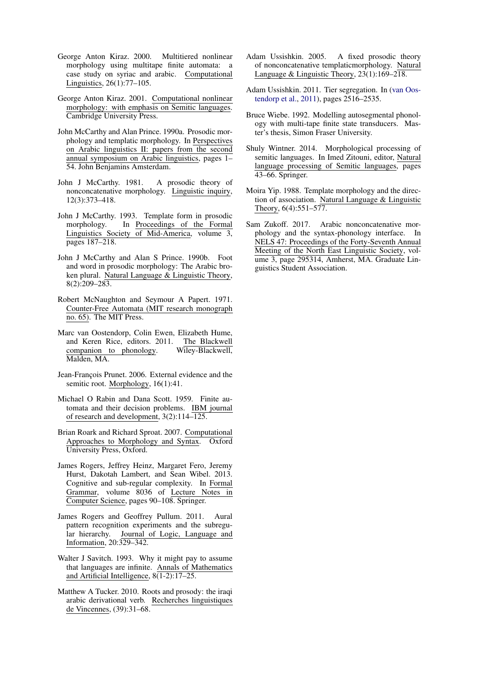- <span id="page-10-15"></span>George Anton Kiraz. 2000. Multitiered nonlinear morphology using multitape finite automata: a case study on syriac and arabic. Computational Linguistics, 26(1):77–105.
- <span id="page-10-13"></span>George Anton Kiraz. 2001. Computational nonlinear morphology: with emphasis on Semitic languages. Cambridge University Press.
- <span id="page-10-7"></span>John McCarthy and Alan Prince. 1990a. Prosodic morphology and templatic morphology. In Perspectives on Arabic linguistics II: papers from the second annual symposium on Arabic linguistics, pages 1– 54. John Benjamins Amsterdam.
- <span id="page-10-4"></span>John J McCarthy. 1981. A prosodic theory of nonconcatenative morphology. Linguistic inquiry, 12(3):373–418.
- <span id="page-10-9"></span>John J McCarthy. 1993. Template form in prosodic morphology. In Proceedings of the Formal Linguistics Society of Mid-America, volume 3, pages 187–218.
- <span id="page-10-8"></span>John J McCarthy and Alan S Prince. 1990b. Foot and word in prosodic morphology: The Arabic broken plural. Natural Language & Linguistic Theory, 8(2):209–283.
- <span id="page-10-0"></span>Robert McNaughton and Seymour A Papert. 1971. Counter-Free Automata (MIT research monograph no. 65). The MIT Press.
- <span id="page-10-20"></span>Marc van Oostendorp, Colin Ewen, Elizabeth Hume, and Keren Rice, editors. 2011. The Blackwell companion to phonology. Wiley-Blackwell, Malden, MA.
- <span id="page-10-5"></span>Jean-François Prunet. 2006. External evidence and the semitic root. Morphology, 16(1):41.
- <span id="page-10-3"></span>Michael O Rabin and Dana Scott. 1959. Finite automata and their decision problems. IBM journal of research and development, 3(2):114–125.
- <span id="page-10-14"></span>Brian Roark and Richard Sproat. 2007. Computational Approaches to Morphology and Syntax. Oxford University Press, Oxford.
- <span id="page-10-2"></span>James Rogers, Jeffrey Heinz, Margaret Fero, Jeremy Hurst, Dakotah Lambert, and Sean Wibel. 2013. Cognitive and sub-regular complexity. In Formal Grammar, volume 8036 of Lecture Notes in Computer Science, pages 90–108. Springer.
- <span id="page-10-1"></span>James Rogers and Geoffrey Pullum. 2011. Aural pattern recognition experiments and the subregular hierarchy. Journal of Logic, Language and Information, 20:329–342.
- <span id="page-10-18"></span>Walter J Savitch. 1993. Why it might pay to assume that languages are infinite. Annals of Mathematics and Artificial Intelligence,  $8(1-2)$ : 17–25.
- <span id="page-10-10"></span>Matthew A Tucker. 2010. Roots and prosody: the iraqi arabic derivational verb. Recherches linguistiques de Vincennes, (39):31–68.
- <span id="page-10-12"></span>Adam Ussishkin. 2005. A fixed prosodic theory of nonconcatenative templaticmorphology. Natural Language & Linguistic Theory, 23(1):169–218.
- <span id="page-10-6"></span>Adam Ussishkin. 2011. Tier segregation. In [\(van Oos](#page-10-20)[tendorp et al.,](#page-10-20) [2011\)](#page-10-20), pages 2516–2535.
- <span id="page-10-16"></span>Bruce Wiebe. 1992. Modelling autosegmental phonology with multi-tape finite state transducers. Master's thesis, Simon Fraser University.
- <span id="page-10-17"></span>Shuly Wintner. 2014. Morphological processing of semitic languages. In Imed Zitouni, editor, Natural language processing of Semitic languages, pages 43–66. Springer.
- <span id="page-10-19"></span>Moira Yip. 1988. Template morphology and the direction of association. Natural Language & Linguistic Theory, 6(4):551–577.
- <span id="page-10-11"></span>Sam Zukoff. 2017. Arabic nonconcatenative morphology and the syntax-phonology interface. In NELS 47: Proceedings of the Forty-Seventh Annual Meeting of the North East Linguistic Society, volume 3, page 295314, Amherst, MA. Graduate Linguistics Student Association.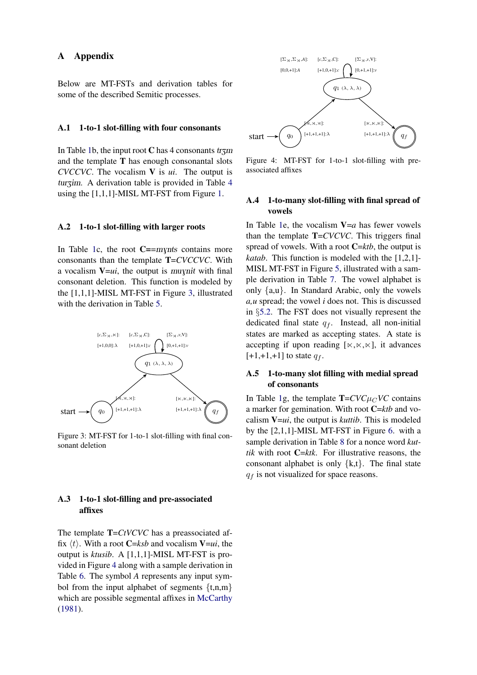### A Appendix

Below are MT-FSTs and derivation tables for some of the described Semitic processes.

### A.1 1-to-1 slot-filling with four consonants

In Table [1b](#page-4-0), the input root C has 4 consonants  $tr\tau_{\rm Z}$ and the template T has enough consonantal slots *CVCCVC*. The vocalism V is *ui*. The output is turzim. A derivation table is provided in Table [4](#page-12-0) using the [1,1,1]-MISL MT-FST from Figure [1.](#page-5-1)

### A.2 1-to-1 slot-filling with larger roots

In Table [1c](#page-4-0), the root  $C = -mynts$  contains more consonants than the template T=*CVCCVC*. With a vocalism  $V=ui$ , the output is *muynit* with final consonant deletion. This function is modeled by the [1,1,1]-MISL MT-FST in Figure [3,](#page-11-0) illustrated with the derivation in Table [5.](#page-12-1)

<span id="page-11-0"></span>

Figure 3: MT-FST for 1-to-1 slot-filling with final consonant deletion

## A.3 1-to-1 slot-filling and pre-associated affixes

The template **T**=*CtVCVC* has a preassociated affix  $\langle t \rangle$ . With a root **C**=*ksb* and vocalism **V**=*ui*, the output is *ktusib*. A [1,1,1]-MISL MT-FST is provided in Figure [4](#page-11-1) along with a sample derivation in Table [6.](#page-12-2) The symbol *A* represents any input symbol from the input alphabet of segments *{*t,n,m*}* which are possible segmental affixes in [McCarthy](#page-10-4) [\(1981\)](#page-10-4).

<span id="page-11-1"></span>

Figure 4: MT-FST for 1-to-1 slot-filling with preassociated affixes

## A.4 1-to-many slot-filling with final spread of vowels

In Table [1e](#page-4-0), the vocalism  $V=a$  has fewer vowels than the template T=*CVCVC*. This triggers final spread of vowels. With a root C=*ktb*, the output is *katab*. This function is modeled with the [1,2,1]- MISL MT-FST in Figure [5,](#page-13-0) illustrated with a sample derivation in Table [7.](#page-13-1) The vowel alphabet is only *{*a,u*}*. In Standard Arabic, only the vowels *a,u* spread; the vowel *i* does not. This is discussed in *§*[5.2.](#page-7-0) The FST does not visually represent the dedicated final state *q<sup>f</sup>* . Instead, all non-initial states are marked as accepting states. A state is accepting if upon reading  $[\times,\times,\times]$ , it advances  $[+1,+1,+1]$  to state  $q_f$ .

## A.5 1-to-many slot filling with medial spread of consonants

In Table [1g](#page-4-0), the template  $T = CVC \mu_C V C$  contains a marker for gemination. With root C=*ktb* and vocalism V=*ui*, the output is *kuttib*. This is modeled by the [2,1,1]-MISL MT-FST in Figure [6.](#page-14-0) with a sample derivation in Table [8](#page-13-2) for a nonce word *kuttik* with root  $C=ktk$ . For illustrative reasons, the consonant alphabet is only *{*k,t*}*. The final state *q<sup>f</sup>* is not visualized for space reasons.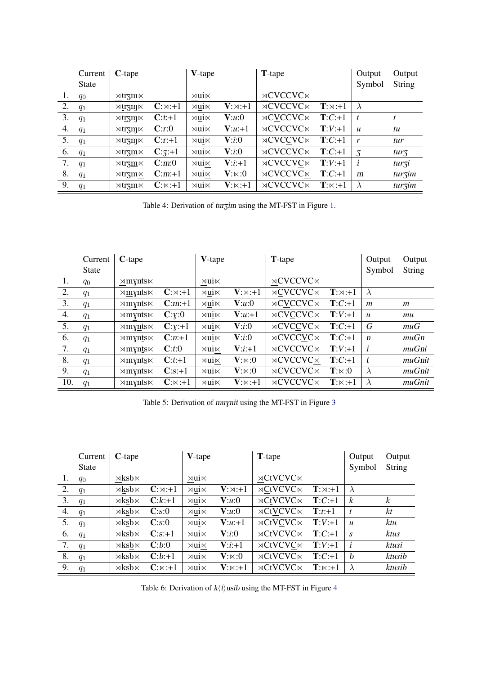<span id="page-12-0"></span>

|    | Current      | $C$ -tape                                 |               | V-tape                 |                           | <b>T</b> -tape             |                          | Output           | Output           |
|----|--------------|-------------------------------------------|---------------|------------------------|---------------------------|----------------------------|--------------------------|------------------|------------------|
|    | <b>State</b> |                                           |               |                        |                           |                            |                          | Symbol           | <b>String</b>    |
| 1. | $q_0$        | $\times \text{tr} \cdot \text{m}$         |               | $\rtimes$ ui $\ltimes$ |                           | $\rtimes$ CVCCVC $\ltimes$ |                          |                  |                  |
| 2. | $q_1$        | $\times \text{tr} \text{Im} \times$       | $C:\times:+1$ | $\times$ ui $\times$   | $V:\times :+1$            | $\rtimes$ CVCCVC $\ltimes$ | $\mathbf{T}:\times: +1$  | $\lambda$        |                  |
| 3. | $q_1$        | $\times$ trznj $\times$                   | $C:t+1$       | $\rtimes$ ui $\ltimes$ | V:u:0                     | $\rtimes$ CVCCVC $\ltimes$ | $T:C+1$                  |                  |                  |
| 4. | $q_1$        | $\times \text{tr} \cdot \text{cm} \times$ | C:r:0         | $\times$ ui $\times$   | $V:u:+1$                  | $\rtimes$ CVCCVC $\ltimes$ | $T:V:+1$                 | $\boldsymbol{u}$ | tu               |
| 5. | $q_1$        | $\times$ trzm $\times$                    | $C: r: +1$    | $\rtimes$ ui $\ltimes$ | V:i:0                     | $\rtimes$ CVCCVC $\ltimes$ | $T:C+1$                  | r                | tur              |
| 6. | $q_1$        | $\times$ trzm $\times$                    | $C:3:+1$      | $\times$ ui $\times$   | V: i:0                    | $\rtimes$ CVCCVC $\ltimes$ | $T:C+1$                  | 3                | tur <sub>3</sub> |
| 7. | $q_1$        | $\times \text{tr} \cdot \text{cm} \times$ | C:m:0         | $\rtimes$ ui $\ltimes$ | $V:i+1$                   | $\rtimes$ CVCCVC $\ltimes$ | $\mathbf{T}:V:+1$        | $\mathbf{i}$     | turzi            |
| 8. | $q_1$        | $\times \text{tr} \cdot \text{cm} \times$ | $C:m+1$       | $\times$ ui $\times$   | $V:\Join:0$               | $\rtimes$ CVCCVC $\ltimes$ | $T:C+1$                  | $\mathbf{m}$     | turzim           |
| 9. | $q_1$        | $\times$ trzm $\times$                    | $C:\Join: +1$ | $\times$ ui $\times$   | $\mathbf{V}:\ltimes:\!+1$ | $\rtimes$ CVCCVC $\ltimes$ | $\mathbf{T}:\ltimes :+1$ | $\lambda$        | turzim           |

Table 4: Derivation of turzim using the MT-FST in Figure [1.](#page-5-1)

<span id="page-12-1"></span>

|     | Current      | $C$ -tape               |               | V-tape                 |                | <b>T</b> -tape             |                       | Output           | Output         |
|-----|--------------|-------------------------|---------------|------------------------|----------------|----------------------------|-----------------------|------------------|----------------|
|     | <b>State</b> |                         |               |                        |                |                            |                       | Symbol           | String         |
| 1.  | $q_0$        | $\times$ mynts $\times$ |               | $\rtimes$ ui $\ltimes$ |                | $\rtimes$ CVCCVC $\ltimes$ |                       |                  |                |
| 2.  | $q_1$        | $\times$ mynts $\times$ | $C:\times:+1$ | $\times$ ui $\times$   | $V:\times :+1$ | $\rtimes$ CVCCVC $\ltimes$ | $\mathbf{T}:\Join:+1$ | $\lambda$        |                |
| 3.  | $q_1$        | $\times$ mynts $\times$ | $C:m+1$       | $\rtimes$ ui $\ltimes$ | V:u:0          | $\rtimes$ CVCCVC $\ltimes$ | $T:C+1$               | $\boldsymbol{m}$ | $\mathfrak{m}$ |
| 4.  | $q_1$        | $\times$ mynts $\times$ | C:Y:0         | $\rtimes$ ui $\ltimes$ | $V:u:+1$       | $\rtimes$ CVCCVC $\ltimes$ | $T:V:+1$              | $\boldsymbol{u}$ | mu             |
| 5.  | $q_1$        | $\times$ mynts $\times$ | $C:Y:+1$      | $\rtimes$ ui $\ltimes$ | V: i:0         | $\rtimes$ CVCCVC $\ltimes$ | $T:C+1$               | G                | muG            |
| 6.  | $q_1$        | $\times$ mynts $\times$ | $C:n+1$       | $\rtimes$ ui $\ltimes$ | V:i:0          | $\rtimes$ CVCCVC $\ltimes$ | $T:C+1$               | $\boldsymbol{n}$ | muGn           |
| 7.  | $q_1$        | $\times$ mynts $\times$ | C:t:0         | $\rtimes$ ui $\ltimes$ | $V:i+1$        | $\rtimes$ CVCCVC $\ltimes$ | $\mathbf{T}:V:+1$     | $\mathbf{i}$     | muGni          |
| 8.  | $q_1$        | $\times$ mynts $\times$ | $C:t+1$       | $\rtimes$ ui $\ltimes$ | $V:\ltimes:0$  | $\rtimes$ CVCCVC $\ltimes$ | $T:C+1$               | t.               | $muG$ nit      |
| 9.  | $q_1$        | $\times$ mynts $\times$ | $C: s: +1$    | $\rtimes$ ui $\ltimes$ | $V:\ltimes:0$  | $\rtimes$ CVCCVC $\ltimes$ | $\mathbf{T}:\Join:0$  | $\lambda$        | $muG$ nit      |
| 10. | $q_1$        | $\times$ mynts $\times$ | $C:\Join: +1$ | $\rtimes$ ui $\ltimes$ | $V:\times :+1$ | $\rtimes$ CVCCVC $\ltimes$ | $T:\Join: +1$         | $\lambda$        | muGnit         |

Table 5: Derivation of muynit using the MT-FST in Figure [3](#page-11-0)

<span id="page-12-2"></span>

|    | Current      | $C$ -tape             |               | V-tape                 |                          | <b>T</b> -tape             |                        | Output           | Output           |
|----|--------------|-----------------------|---------------|------------------------|--------------------------|----------------------------|------------------------|------------------|------------------|
|    | <b>State</b> |                       |               |                        |                          |                            |                        | Symbol           | String           |
| 1. | $q_0$        | $\times$ ksb $\times$ |               | $\times$ ui $\times$   |                          | $\rtimes$ CtVCVC $\ltimes$ |                        |                  |                  |
| 2. | $q_1$        | $\times$ ksb $\times$ | $C:\times:+1$ | $\times$ ui $\times$   | $V:\times :+1$           | $\rtimes$ CtVCVC $\ltimes$ | $\mathbf{T}:\times:+1$ | $\lambda$        |                  |
| 3. | $q_1$        | $\times$ ksb $\times$ | $C:k+1$       | $\times$ ui $\times$   | V:u:0                    | $\rtimes$ CtVCVC $\ltimes$ | $T:C+1$                | $\boldsymbol{k}$ | $\boldsymbol{k}$ |
| 4. | $q_1$        | $\times$ ksb $\times$ | C:s:0         | $\times$ ui $\times$   | V:u:0                    | $\rtimes$ CtVCVC $\ltimes$ | $\mathbf{T}:t:+1$      | $\boldsymbol{t}$ | kt               |
| 5. | $q_1$        | $\times$ ksb $\times$ | C:s:0         | $\rtimes$ ui $\ltimes$ | $V:u:+1$                 | $\rtimes$ CtVCVC $\ltimes$ | $T:V:+1$               | $\boldsymbol{u}$ | ktu              |
| 6. | $q_1$        | $\times$ ksb $\times$ | $C: s: +1$    | $\times$ ui $\times$   | V:i:0                    | $\rtimes$ CtVCVC $\ltimes$ | $T:C+1$                | $\mathcal{S}$    | ktus             |
| 7. | $q_1$        | $\times$ ksb $\times$ | C:b:0         | $\times$ ui $\times$   | $V: i: +1$               | $\rtimes$ CtVCVC $\ltimes$ | $T:V:+1$               | $\mathbf{i}$     | ktusi            |
| 8. | $q_1$        | $\times$ ksb $\times$ | $C:b:+1$      | $\times$ ui $\times$   | ${\bf V}$ : $\ltimes$ :0 | $\rtimes$ CtVCVC $\ltimes$ | $T:C+1$                | $\mathbf{h}$     | ktusib           |
| 9. | $q_1$        | $\times$ ksb $\times$ | $C:\Join: +1$ | $\times$ ui $\times$   | $V:\times :+1$           | $\rtimes$ CtVCVC $\ltimes$ | $\mathbf{T}:\Join:+1$  |                  | ktusib           |

Table 6: Derivation of  $k(t)$  usib using the MT-FST in Figure [4](#page-11-1)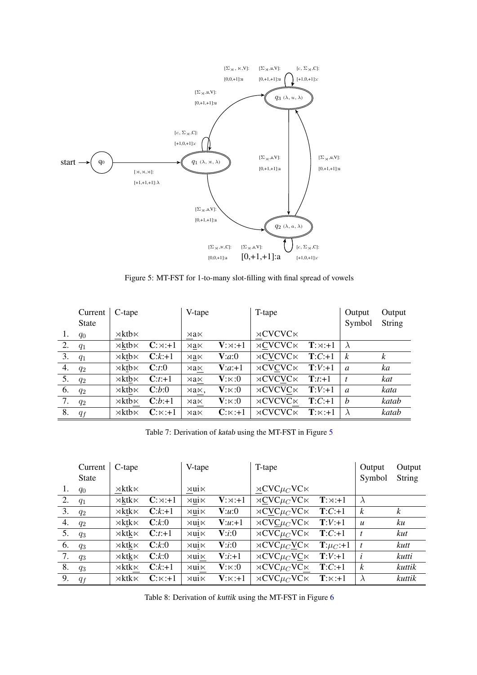<span id="page-13-0"></span>

Figure 5: MT-FST for 1-to-many slot-filling with final spread of vowels

<span id="page-13-1"></span>

|    | Current<br><b>State</b> | C-tape                  |                | V-tape                |                | T-tape                    |                        | Output<br>Symbol | Output<br>String |
|----|-------------------------|-------------------------|----------------|-----------------------|----------------|---------------------------|------------------------|------------------|------------------|
| 1. | $q_0$                   | $\rtimes$ kth $\ltimes$ |                | $\rtimes a\ltimes$    |                | $\rtimes$ CVCVC $\ltimes$ |                        |                  |                  |
| 2. | $q_1$                   | $\times$ ktb $\times$   | $C:\times :+1$ | $\rtimes$ a $\ltimes$ | $V:\times :+1$ | $\rtimes$ CVCVC $\ltimes$ | $\mathbf{T}:\times:+1$ |                  |                  |
| 3. | $q_1$                   | $\times$ ktb $\times$   | $C:k+1$        | $\rtimes a\ltimes$    | V:a:0          | $\rtimes$ CVCVC $\ltimes$ | $T:C+1$                | $\boldsymbol{k}$ | $\boldsymbol{k}$ |
| 4. | $q_2$                   | $\times$ ktb $\times$   | C: t: 0        | $\times$ a $\times$   | $V:a+1$        | $\rtimes$ CVCVC $\ltimes$ | $\mathbf{T}:V:+1$      | $\mathfrak a$    | ka               |
| 5. | $q_2$                   | $\times$ ktb $\times$   | $C:t+1$        | $\rtimes a\ltimes$    | $V:\ltimes:0$  | $\rtimes$ CVCVC $\ltimes$ | $\mathbf{T}:t:+1$      | t                | kat              |
| 6. | $q_2$                   | $\times$ ktb $\times$   | C:b:0          | xax.                  | $V:\Join:0$    | $\rtimes$ CVCVC $\ltimes$ | $\mathbf{T}:V:+1$      | $\mathfrak{a}$   | kata             |
| 7. | $q_2$                   | $\times$ ktb $\times$   | $C:b:+1$       | $\rtimes a\ltimes$    | $V:\ltimes:0$  | $\rtimes$ CVCVC $\ltimes$ | $T:C+1$                | $\boldsymbol{h}$ | katab            |
| 8. | $q_f$                   | $\rtimes$ kth $\ltimes$ | $C:\Join: +1$  | $\rtimes$ a $\ltimes$ | $C:\Join: +1$  | $\rtimes$ CVCVC $\ltimes$ | $\mathbf{T}:\Join:+1$  |                  | katab            |

Table 7: Derivation of katab using the MT-FST in Figure [5](#page-13-0)

<span id="page-13-2"></span>

|    | Current      | C-tape                  |                | V-tape                 |                | T-tape                                        |                        | Output           | Output           |
|----|--------------|-------------------------|----------------|------------------------|----------------|-----------------------------------------------|------------------------|------------------|------------------|
|    | <b>State</b> |                         |                |                        |                |                                               |                        | Symbol           | <b>String</b>    |
| 1. | $q_0$        | $\rtimes$ ktk $\ltimes$ |                | $\rtimes$ ui $\ltimes$ |                | $\rtimes$ CVC $\mu$ <sub>C</sub> VC $\ltimes$ |                        |                  |                  |
| 2. | $q_1$        | $\times$ ktk $\times$   | $C:\times: +1$ | $\times$ ui $\times$   | $V:\times: +1$ | $\rtimes$ CVC $\mu$ <sub>C</sub> VC $\ltimes$ | $\mathbf{T}:\Join:+1$  | $\lambda$        |                  |
| 3. | $q_2$        | $\times$ ktk $\times$   | $C:k+1$        | $\times$ ui $\times$   | V:u:0          | $\rtimes$ CVC $\mu$ <sub>C</sub> VC $\ltimes$ | $T:C+1$                | k                | $\boldsymbol{k}$ |
| 4. | $q_2$        | $\times$ ktk $\times$   | C:k:0          | $\times$ ui $\times$   | $V:u:+1$       | $\rtimes$ CVC $\mu$ <sub>C</sub> VC $\ltimes$ | $T:V:+1$               | $\boldsymbol{u}$ | ku               |
| 5. | $q_3$        | $\times$ ktk $\times$   | $C:t+1$        | $\times$ ui $\times$   | V:i:0          | $\rtimes$ CVC $\mu$ <sub>C</sub> VC $\ltimes$ | $T:C+1$                | $\mathbf{t}$     | kut              |
| 6. | $q_3$        | $\rtimes$ ktk $\ltimes$ | C:k:0          | $\times$ ui $\times$   | V:i:0          | $\rtimes$ CVC $\mu$ <sub>C</sub> VC $\ltimes$ | $\mathbf{T}:\mu_C:+1$  | $\boldsymbol{t}$ | kutt             |
| 7. | $q_3$        | $\times$ ktk $\times$   | C:k:0          | $\times$ ui $\times$   | $V: i: +1$     | $\rtimes$ CVC $\mu$ <sub>C</sub> VC $\ltimes$ | $T:V:+1$               | $\boldsymbol{i}$ | kutti            |
| 8. | $q_3$        | $\rtimes$ ktk $\ltimes$ | $C:k+1$        | $\times$ ui $\times$   | $V:\ltimes:0$  | $\rtimes$ CVC $\mu_C$ VC $\ltimes$            | $T:C+1$                | k                | kuttik           |
| 9. | $q_f$        | $\rtimes$ ktk $\ltimes$ | $C:\Join: +1$  | $\times$ ui $\times$   | $V:\Join: +1$  | $\rtimes$ CVC $\mu$ <sub>C</sub> VC $\ltimes$ | $\mathbf{T}:\Join: +1$ | $\lambda$        | kuttik           |

Table 8: Derivation of kuttik using the MT-FST in Figure [6](#page-14-0)